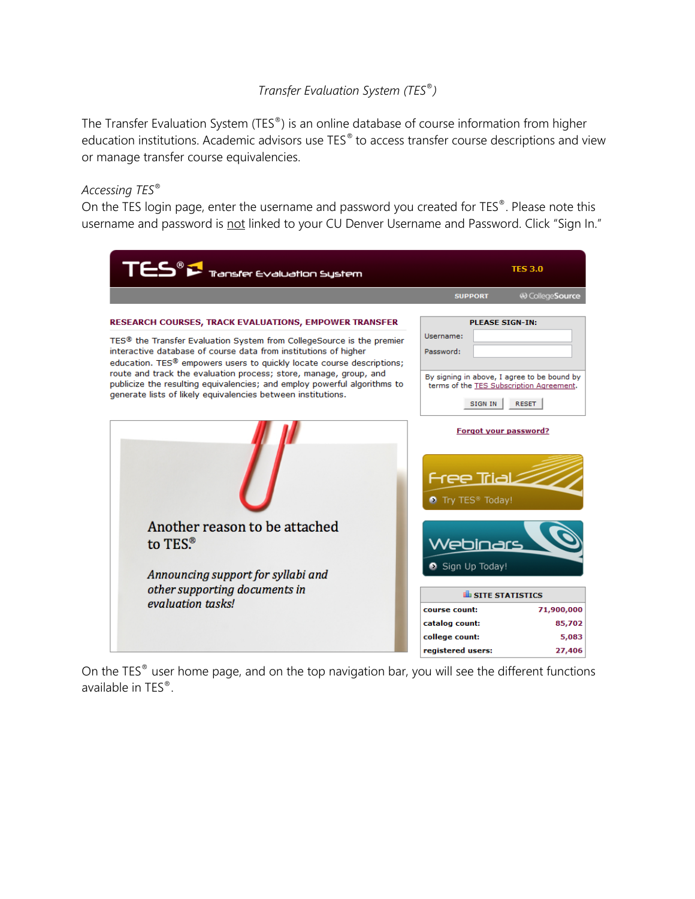# *Transfer Evaluation System (TES*®*)*

The Transfer Evaluation System (TES®) is an online database of course information from higher education institutions. Academic advisors use TES® to access transfer course descriptions and view or manage transfer course equivalencies.

## *Accessing TES*®

On the TES login page, enter the username and password you created for TES®. Please note this username and password is not linked to your CU Denver Username and Password. Click "Sign In."

| TES <sup>®</sup> I Transfer Evaluation System                                                                                                                                                                                                                                                                                                                                                                                                                                                                              | <b>TES 3.0</b>                                                                                                                                                                       |
|----------------------------------------------------------------------------------------------------------------------------------------------------------------------------------------------------------------------------------------------------------------------------------------------------------------------------------------------------------------------------------------------------------------------------------------------------------------------------------------------------------------------------|--------------------------------------------------------------------------------------------------------------------------------------------------------------------------------------|
|                                                                                                                                                                                                                                                                                                                                                                                                                                                                                                                            | <b>49 CollegeSource</b><br><b>SUPPORT</b>                                                                                                                                            |
| <b>RESEARCH COURSES, TRACK EVALUATIONS, EMPOWER TRANSFER</b><br>TES <sup>®</sup> the Transfer Evaluation System from CollegeSource is the premier<br>interactive database of course data from institutions of higher<br>education. TES <sup>®</sup> empowers users to quickly locate course descriptions;<br>route and track the evaluation process; store, manage, group, and<br>publicize the resulting equivalencies; and employ powerful algorithms to<br>generate lists of likely equivalencies between institutions. | <b>PLEASE SIGN-IN:</b><br>Username:<br>Password:<br>By signing in above, I agree to be bound by<br>terms of the TES Subscription Agreement.<br><b>SIGN IN</b><br><b>RESET</b>        |
|                                                                                                                                                                                                                                                                                                                                                                                                                                                                                                                            | Forgot your password?<br><u>Free Trial</u><br>Try TES <sup>®</sup> Today!                                                                                                            |
| Another reason to be attached<br>to TES. <sup>®</sup><br>Announcing support for syllabi and<br>other supporting documents in<br>evaluation tasks!                                                                                                                                                                                                                                                                                                                                                                          | <u>Webinars</u><br>Sign Up Today!<br><b>ILL</b> SITE STATISTICS<br>71,900,000<br>course count:<br>catalog count:<br>85,702<br>college count:<br>5,083<br>registered users:<br>27,406 |

On the TES® user home page, and on the top navigation bar, you will see the different functions available in TES®.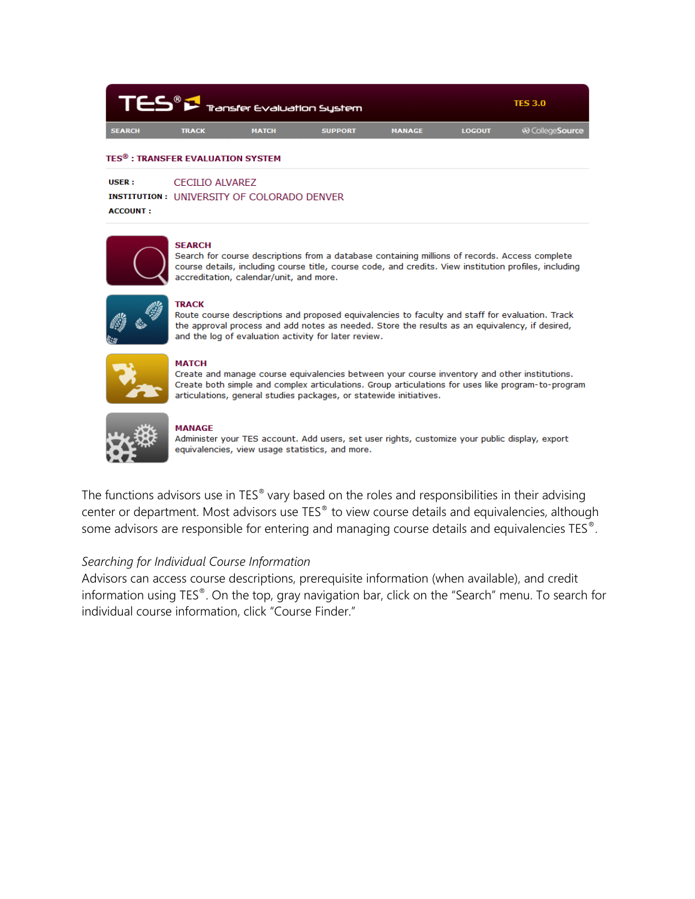| TES® F Tansfer Evaluation System |              | <b>TES 3.0</b> |                |               |               |                   |
|----------------------------------|--------------|----------------|----------------|---------------|---------------|-------------------|
| <b>SEARCH</b>                    | <b>TRACK</b> | <b>MATCH</b>   | <b>SUPPORT</b> | <b>MANAGE</b> | <b>LOGOUT</b> | 49 College Source |

### TES®: TRANSFER EVALUATION SYSTEM

**: CECILIO ALVAREZ** 

**INSTITUTION: UNIVERSITY OF COLORADO DENVER** 

**ACCOUNT:** 



#### **SEARCH**

**TRACK** 

Search for course descriptions from a database containing millions of records. Access complete course details, including course title, course code, and credits. View institution profiles, including accreditation, calendar/unit, and more.



Route course descriptions and proposed equivalencies to faculty and staff for evaluation. Track the approval process and add notes as needed. Store the results as an equivalency, if desired, and the log of evaluation activity for later review.



### **MATCH**

Create and manage course equivalencies between your course inventory and other institutions. Create both simple and complex articulations. Group articulations for uses like program-to-program articulations, general studies packages, or statewide initiatives.



### **MANAGE**

Administer your TES account. Add users, set user rights, customize your public display, export equivalencies, view usage statistics, and more.

The functions advisors use in TES® vary based on the roles and responsibilities in their advising center or department. Most advisors use TES® to view course details and equivalencies, although some advisors are responsible for entering and managing course details and equivalencies TES<sup>®</sup>.

### Searching for Individual Course Information

Advisors can access course descriptions, prerequisite information (when available), and credit information using TES®. On the top, gray navigation bar, click on the "Search" menu. To search for individual course information, click "Course Finder."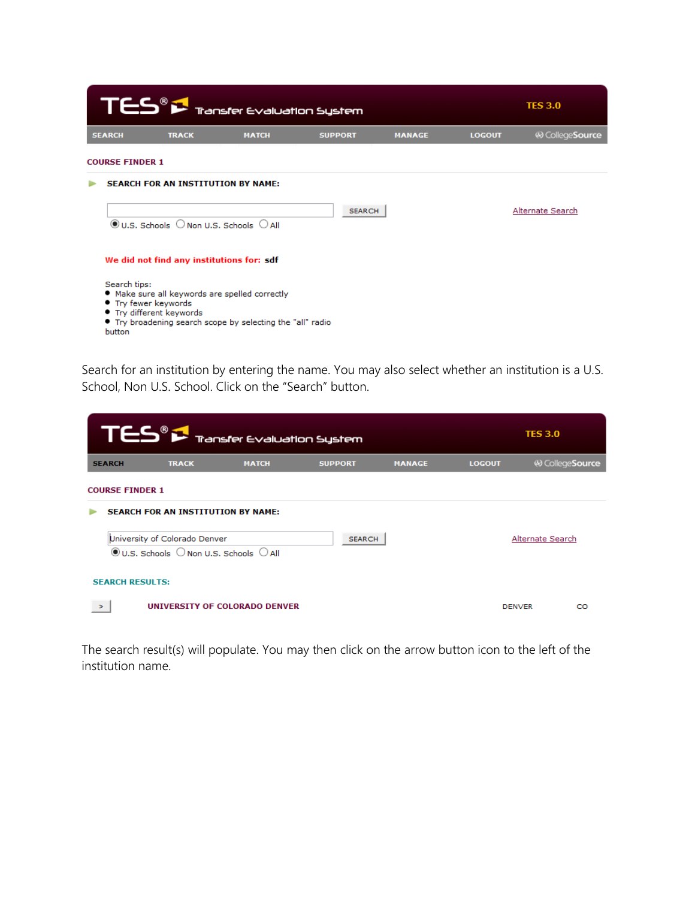| TES <sup>®</sup> > Transfer Evaluation System                              |              | <b>TES 3.0</b>                                                                                                                                            |                |               |               |                  |
|----------------------------------------------------------------------------|--------------|-----------------------------------------------------------------------------------------------------------------------------------------------------------|----------------|---------------|---------------|------------------|
| <b>SEARCH</b>                                                              | <b>TRACK</b> | <b>MATCH</b>                                                                                                                                              | <b>SUPPORT</b> | <b>MANAGE</b> | <b>LOGOUT</b> | 49 CollegeSource |
| <b>COURSE FINDER 1</b>                                                     |              |                                                                                                                                                           |                |               |               |                  |
|                                                                            |              | <b>SEARCH FOR AN INSTITUTION BY NAME:</b><br>$\circledcirc$ U.S. Schools $\circlearrowright$ Non U.S. Schools $\circlearrowright$ All                     | <b>SEARCH</b>  |               |               | Alternate Search |
| Search tips:<br>• Try fewer keywords<br>• Try different keywords<br>button |              | We did not find any institutions for: sdf<br>. Make sure all keywords are spelled correctly<br>• Try broadening search scope by selecting the "all" radio |                |               |               |                  |

Search for an institution by entering the name. You may also select whether an institution is a U.S. School, Non U.S. School. Click on the "Search" button.

|               | $T \boldsymbol{\mathsf{E}} \boldsymbol{\mathsf{S}}^{\scriptscriptstyle{\textcircled{\tiny 8}}} \boldsymbol{\mathsf{P}}$ Transfer Evaluation System |                               | <b>TES 3.0</b> |               |               |                         |  |
|---------------|----------------------------------------------------------------------------------------------------------------------------------------------------|-------------------------------|----------------|---------------|---------------|-------------------------|--|
| <b>SEARCH</b> | <b>TRACK</b>                                                                                                                                       | <b>MATCH</b>                  | <b>SUPPORT</b> | <b>MANAGE</b> | <b>LOGOUT</b> | <b>49 CollegeSource</b> |  |
|               | <b>COURSE FINDER 1</b>                                                                                                                             |                               |                |               |               |                         |  |
|               | <b>SEARCH FOR AN INSTITUTION BY NAME:</b>                                                                                                          |                               |                |               |               |                         |  |
|               | University of Colorado Denver<br>$\odot$ U.S. Schools $\odot$ Non U.S. Schools $\odot$ All                                                         |                               | <b>SEARCH</b>  |               |               | Alternate Search        |  |
|               | <b>SEARCH RESULTS:</b>                                                                                                                             |                               |                |               |               |                         |  |
| $\geq$        |                                                                                                                                                    | UNIVERSITY OF COLORADO DENVER |                |               | <b>DENVER</b> | CO                      |  |

The search result(s) will populate. You may then click on the arrow button icon to the left of the institution name.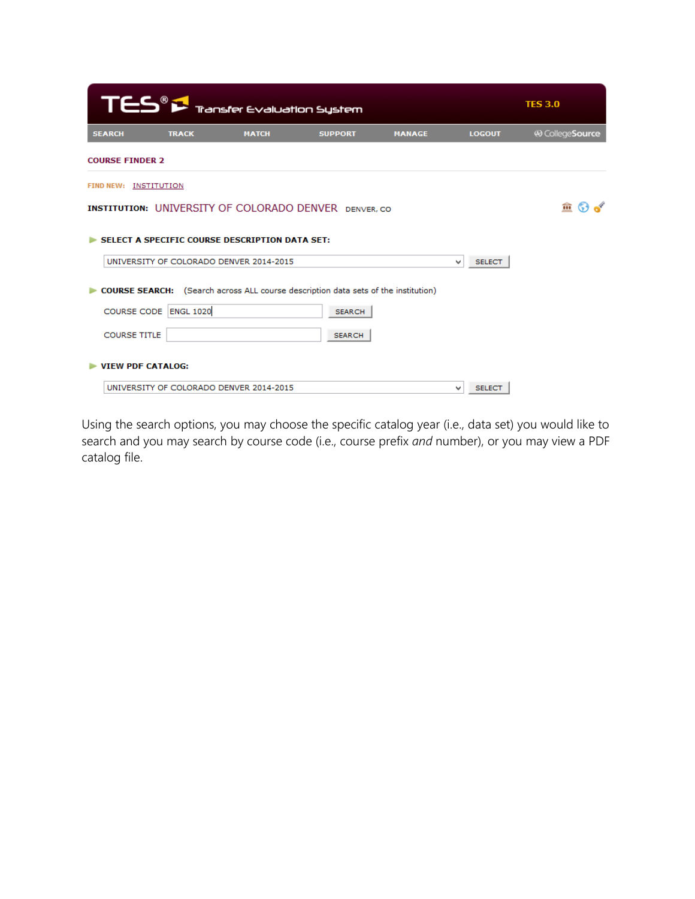|                                                                                                                 | $\mathsf{T}\mathsf{ES}^{\scriptscriptstyle{\textcircled{\tiny 8}}}$ $\mathsf{F}$ Transfer Evaluation System<br><b>TES 3.0</b> |                                         |                                                                                    |               |                    |                   |  |  |  |  |  |  |
|-----------------------------------------------------------------------------------------------------------------|-------------------------------------------------------------------------------------------------------------------------------|-----------------------------------------|------------------------------------------------------------------------------------|---------------|--------------------|-------------------|--|--|--|--|--|--|
| <b>SEARCH</b>                                                                                                   | <b>TRACK</b>                                                                                                                  | <b>MATCH</b>                            | <b>SUPPORT</b>                                                                     | <b>MANAGE</b> | <b>LOGOUT</b>      | <br>CollegeSource |  |  |  |  |  |  |
| <b>COURSE FINDER 2</b>                                                                                          |                                                                                                                               |                                         |                                                                                    |               |                    |                   |  |  |  |  |  |  |
| FIND NEW: INSTITUTION                                                                                           |                                                                                                                               |                                         |                                                                                    |               |                    |                   |  |  |  |  |  |  |
|                                                                                                                 |                                                                                                                               |                                         | <b>INSTITUTION: UNIVERSITY OF COLORADO DENVER</b> DENVER.CO                        |               |                    | m<br><b>Co</b>    |  |  |  |  |  |  |
| SELECT A SPECIFIC COURSE DESCRIPTION DATA SET:<br>UNIVERSITY OF COLORADO DENVER 2014-2015<br><b>SELECT</b><br>v |                                                                                                                               |                                         |                                                                                    |               |                    |                   |  |  |  |  |  |  |
|                                                                                                                 |                                                                                                                               |                                         |                                                                                    |               |                    |                   |  |  |  |  |  |  |
|                                                                                                                 |                                                                                                                               |                                         | COURSE SEARCH: (Search across ALL course description data sets of the institution) |               |                    |                   |  |  |  |  |  |  |
| <b>COURSE CODE</b>                                                                                              | <b>ENGL 1020</b>                                                                                                              |                                         | <b>SEARCH</b>                                                                      |               |                    |                   |  |  |  |  |  |  |
| <b>COURSE TITLE</b>                                                                                             |                                                                                                                               |                                         | <b>SEARCH</b>                                                                      |               |                    |                   |  |  |  |  |  |  |
| <b>VIEW PDF CATALOG:</b>                                                                                        |                                                                                                                               |                                         |                                                                                    |               |                    |                   |  |  |  |  |  |  |
|                                                                                                                 |                                                                                                                               | UNIVERSITY OF COLORADO DENVER 2014-2015 |                                                                                    |               | <b>SELECT</b><br>v |                   |  |  |  |  |  |  |

Using the search options, you may choose the specific catalog year (i.e., data set) you would like to search and you may search by course code (i.e., course prefix *and* number), or you may view a PDF catalog file.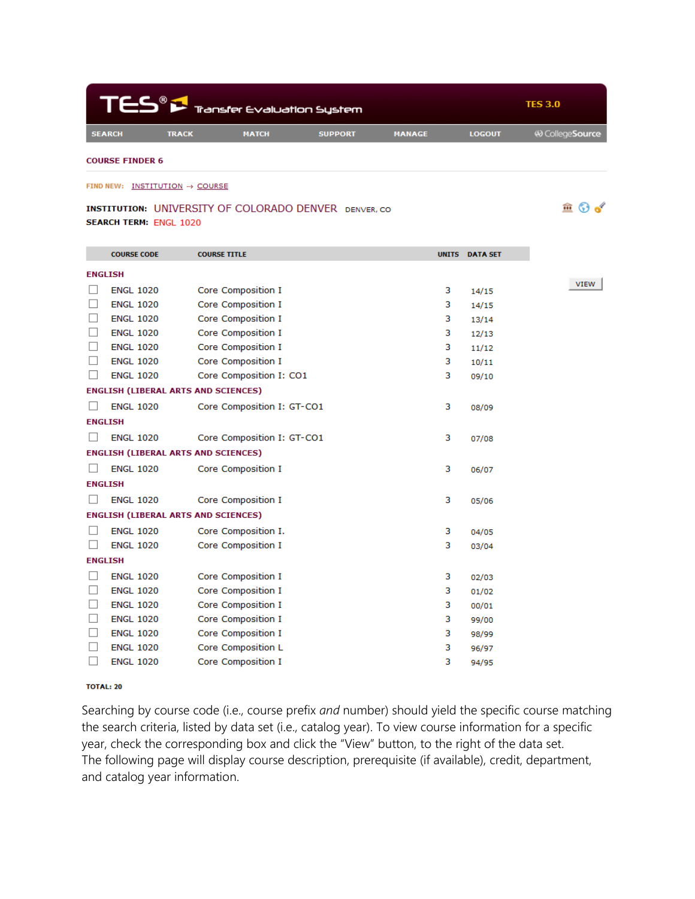|               | $\mathsf{T}\mathsf{ES}^{\scriptscriptstyle{\mathsf{B}}}\mathfrak{S}_{\mathsf{Transfer}\, \mathsf{evaluation}\, \mathsf{System}}$ |              | <b>TES 3.0</b> |               |               |                   |
|---------------|----------------------------------------------------------------------------------------------------------------------------------|--------------|----------------|---------------|---------------|-------------------|
| <b>SEARCH</b> | <b>TRACK</b>                                                                                                                     | <b>MATCH</b> | <b>SUPPORT</b> | <b>MANAGE</b> | <b>LOGOUT</b> | 49 College Source |
|               |                                                                                                                                  |              |                |               |               |                   |

 $\hat{m}$   $\odot$  of

**COURSE FINDER 6** 

#### FIND NEW: INSTITUTION -> COURSE

### **INSTITUTION: UNIVERSITY OF COLORADO DENVER DENVER, CO. SEARCH TERM: ENGL 1020**

|                          | <b>COURSE CODE</b>                         | <b>COURSE TITLE</b>        |   | <b>UNITS DATA SET</b> |
|--------------------------|--------------------------------------------|----------------------------|---|-----------------------|
| <b>ENGLISH</b>           |                                            |                            |   |                       |
|                          | <b>ENGL 1020</b>                           | <b>Core Composition I</b>  | з | 14/15                 |
|                          | <b>ENGL 1020</b>                           | <b>Core Composition I</b>  | 3 | 14/15                 |
|                          | <b>ENGL 1020</b>                           | <b>Core Composition I</b>  | з | 13/14                 |
|                          | <b>ENGL 1020</b>                           | Core Composition I         | 3 | 12/13                 |
|                          | <b>ENGL 1020</b>                           | Core Composition I         | з | 11/12                 |
|                          | <b>ENGL 1020</b>                           | Core Composition I         | з | 10/11                 |
| ⊔                        | <b>ENGL 1020</b>                           | Core Composition I: CO1    | 3 | 09/10                 |
|                          | <b>ENGLISH (LIBERAL ARTS AND SCIENCES)</b> |                            |   |                       |
|                          | <b>ENGL 1020</b>                           | Core Composition I: GT-CO1 | з | 08/09                 |
| <b>ENGLISH</b>           |                                            |                            |   |                       |
|                          | <b>ENGL 1020</b>                           | Core Composition I: GT-CO1 | 3 | 07/08                 |
|                          | <b>ENGLISH (LIBERAL ARTS AND SCIENCES)</b> |                            |   |                       |
|                          | <b>ENGL 1020</b>                           | <b>Core Composition I</b>  | 3 | 06/07                 |
| <b>ENGLISH</b>           |                                            |                            |   |                       |
|                          | <b>ENGL 1020</b>                           | Core Composition I         | 3 | 05/06                 |
|                          | <b>ENGLISH (LIBERAL ARTS AND SCIENCES)</b> |                            |   |                       |
|                          | <b>ENGL 1020</b>                           | Core Composition I.        | 3 | 04/05                 |
| ш                        | <b>ENGL 1020</b>                           | Core Composition I         | 3 | 03/04                 |
| <b>ENGLISH</b>           |                                            |                            |   |                       |
|                          | <b>ENGL 1020</b>                           | Core Composition I         | з | 02/03                 |
| $\Box$                   | <b>ENGL 1020</b>                           | <b>Core Composition I</b>  | з | 01/02                 |
| $\overline{\phantom{a}}$ | <b>ENGL 1020</b>                           | Core Composition I         | 3 | 00/01                 |
|                          | <b>ENGL 1020</b>                           | Core Composition I         | з | 99/00                 |
|                          | <b>ENGL 1020</b>                           | <b>Core Composition I</b>  | з | 98/99                 |
|                          | <b>ENGL 1020</b>                           | Core Composition L         | з | 96/97                 |
|                          | <b>ENGL 1020</b>                           | <b>Core Composition I</b>  | з | 94/95                 |

### **TOTAL: 20**

Searching by course code (i.e., course prefix and number) should yield the specific course matching the search criteria, listed by data set (i.e., catalog year). To view course information for a specific year, check the corresponding box and click the "View" button, to the right of the data set. The following page will display course description, prerequisite (if available), credit, department, and catalog year information.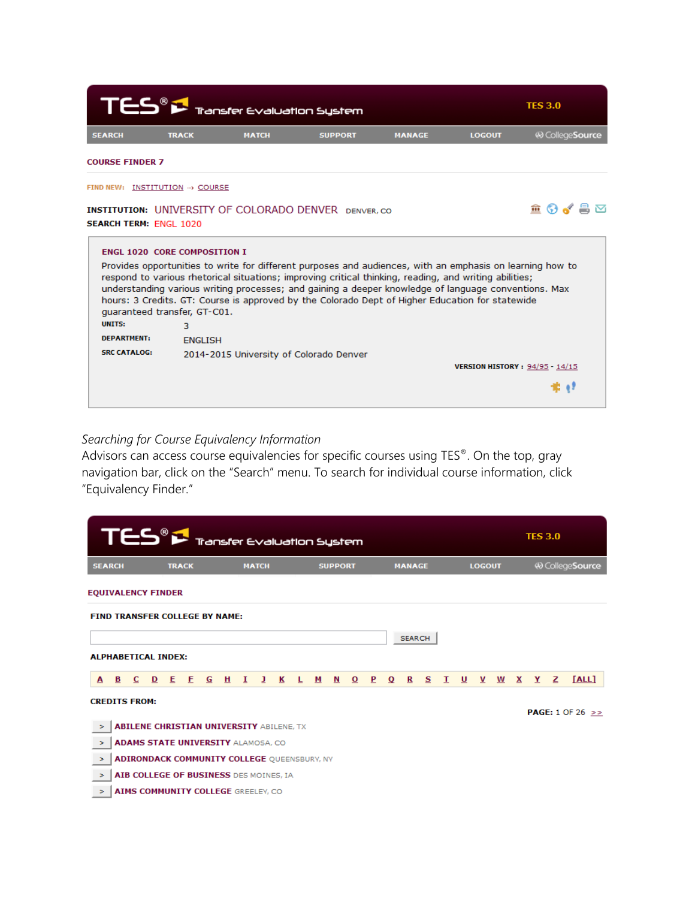| $\mathsf{T}\mathsf{ES}^{\scriptscriptstyle{\textcircled{\tiny{\#}}}}$ Transfer Evaluation System |                | <b>TES 3.0</b> |                                                                                                                                                                                                                                                                                                                                                                                                                                |               |                                       |                          |
|--------------------------------------------------------------------------------------------------|----------------|----------------|--------------------------------------------------------------------------------------------------------------------------------------------------------------------------------------------------------------------------------------------------------------------------------------------------------------------------------------------------------------------------------------------------------------------------------|---------------|---------------------------------------|--------------------------|
| <b>SEARCH</b>                                                                                    | <b>TRACK</b>   | <b>MATCH</b>   | <b>SUPPORT</b>                                                                                                                                                                                                                                                                                                                                                                                                                 | <b>MANAGE</b> | <b>LOGOUT</b>                         | <b>49 College Source</b> |
| <b>COURSE FINDER 7</b>                                                                           |                |                |                                                                                                                                                                                                                                                                                                                                                                                                                                |               |                                       |                          |
| FIND NEW: INSTITUTION -> COURSE                                                                  |                |                |                                                                                                                                                                                                                                                                                                                                                                                                                                |               |                                       |                          |
| <b>SEARCH TERM: FNGL 1020</b>                                                                    |                |                | <b>INSTITUTION: UNIVERSITY OF COLORADO DENVER</b> DENVER.CO                                                                                                                                                                                                                                                                                                                                                                    |               |                                       | <b>≙ ⊙√ ≞</b> ⊠          |
| <b>ENGL 1020 CORE COMPOSITION I</b>                                                              |                |                |                                                                                                                                                                                                                                                                                                                                                                                                                                |               |                                       |                          |
| quaranteed transfer, GT-C01.                                                                     |                |                | Provides opportunities to write for different purposes and audiences, with an emphasis on learning how to<br>respond to various rhetorical situations; improving critical thinking, reading, and writing abilities;<br>understanding various writing processes; and gaining a deeper knowledge of language conventions. Max<br>hours: 3 Credits. GT: Course is approved by the Colorado Dept of Higher Education for statewide |               |                                       |                          |
| <b>UNITS:</b>                                                                                    | з.             |                |                                                                                                                                                                                                                                                                                                                                                                                                                                |               |                                       |                          |
| <b>DEPARTMENT:</b>                                                                               | <b>FNGLISH</b> |                |                                                                                                                                                                                                                                                                                                                                                                                                                                |               |                                       |                          |
| <b>SRC CATALOG:</b>                                                                              |                |                | 2014-2015 University of Colorado Denver                                                                                                                                                                                                                                                                                                                                                                                        |               | <b>VERSION HISTORY: 94/95 - 14/15</b> |                          |
|                                                                                                  |                |                |                                                                                                                                                                                                                                                                                                                                                                                                                                |               |                                       |                          |
|                                                                                                  |                |                |                                                                                                                                                                                                                                                                                                                                                                                                                                |               |                                       |                          |

# *Searching for Course Equivalency Information*

Advisors can access course equivalencies for specific courses using TES®. On the top, gray navigation bar, click on the "Search" menu. To search for individual course information, click "Equivalency Finder."

| $\mathsf{T}\mathsf{ES}^{\scriptscriptstyle{\textcircled{\tiny 8}}}$ $\blacktriangleright$ Transfer Evaluation System |                                       |   |                                                    |   |              |   |   |   |              |   |   |   | <b>TES 3.0</b> |              |   |             |               |   |   |   |               |   |   |   |   |                             |
|----------------------------------------------------------------------------------------------------------------------|---------------------------------------|---|----------------------------------------------------|---|--------------|---|---|---|--------------|---|---|---|----------------|--------------|---|-------------|---------------|---|---|---|---------------|---|---|---|---|-----------------------------|
| <b>SEARCH</b>                                                                                                        |                                       |   |                                                    |   | <b>TRACK</b> |   |   |   | <b>MATCH</b> |   |   |   | <b>SUPPORT</b> |              |   |             | <b>MANAGE</b> |   |   |   | <b>LOGOUT</b> |   |   |   |   | <br>CollegeSource           |
|                                                                                                                      | <b>EQUIVALENCY FINDER</b>             |   |                                                    |   |              |   |   |   |              |   |   |   |                |              |   |             |               |   |   |   |               |   |   |   |   |                             |
|                                                                                                                      | <b>FIND TRANSFER COLLEGE BY NAME:</b> |   |                                                    |   |              |   |   |   |              |   |   |   |                |              |   |             |               |   |   |   |               |   |   |   |   |                             |
|                                                                                                                      | <b>SEARCH</b>                         |   |                                                    |   |              |   |   |   |              |   |   |   |                |              |   |             |               |   |   |   |               |   |   |   |   |                             |
|                                                                                                                      |                                       |   | <b>ALPHABETICAL INDEX:</b>                         |   |              |   |   |   |              |   |   |   |                |              |   |             |               |   |   |   |               |   |   |   |   |                             |
| A                                                                                                                    | В                                     | C | D                                                  | Е | E            | G | H | 1 | J            | К | L | м | N              | $\mathbf{o}$ | P | $\mathbf Q$ | R             | s | т | U | V             | W | x | Y | z | [ALL]                       |
|                                                                                                                      |                                       |   | <b>CREDITS FROM:</b>                               |   |              |   |   |   |              |   |   |   |                |              |   |             |               |   |   |   |               |   |   |   |   | <b>PAGE:</b> $1$ OF 26 $>>$ |
| $\geq$                                                                                                               |                                       |   | <b>ABILENE CHRISTIAN UNIVERSITY ABILENE, TX</b>    |   |              |   |   |   |              |   |   |   |                |              |   |             |               |   |   |   |               |   |   |   |   |                             |
| ×                                                                                                                    |                                       |   | <b>ADAMS STATE UNIVERSITY ALAMOSA, CO</b>          |   |              |   |   |   |              |   |   |   |                |              |   |             |               |   |   |   |               |   |   |   |   |                             |
| $\geq$                                                                                                               |                                       |   | <b>ADIRONDACK COMMUNITY COLLEGE QUEENSBURY, NY</b> |   |              |   |   |   |              |   |   |   |                |              |   |             |               |   |   |   |               |   |   |   |   |                             |
| $\geq$                                                                                                               |                                       |   | AIB COLLEGE OF BUSINESS DES MOINES, IA             |   |              |   |   |   |              |   |   |   |                |              |   |             |               |   |   |   |               |   |   |   |   |                             |
| ×                                                                                                                    |                                       |   | AIMS COMMUNITY COLLEGE GREELEY, CO.                |   |              |   |   |   |              |   |   |   |                |              |   |             |               |   |   |   |               |   |   |   |   |                             |